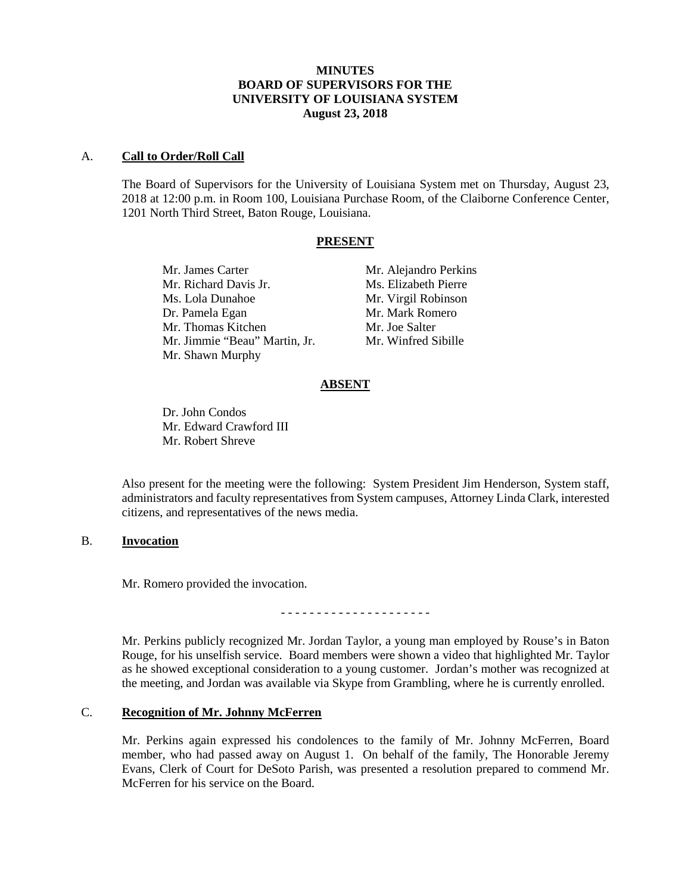## **MINUTES BOARD OF SUPERVISORS FOR THE UNIVERSITY OF LOUISIANA SYSTEM August 23, 2018**

#### A. **Call to Order/Roll Call**

The Board of Supervisors for the University of Louisiana System met on Thursday, August 23, 2018 at 12:00 p.m. in Room 100, Louisiana Purchase Room, of the Claiborne Conference Center, 1201 North Third Street, Baton Rouge, Louisiana.

### **PRESENT**

Mr. Richard Davis Jr. Ms. Elizabeth Pierre Ms. Lola Dunahoe Mr. Virgil Robinson Dr. Pamela Egan Mr. Mark Romero Mr. Thomas Kitchen Mr. Joe Salter Mr. Jimmie "Beau" Martin, Jr. Mr. Winfred Sibille Mr. Shawn Murphy

Mr. James Carter Mr. Alejandro Perkins

# **ABSENT**

Dr. John Condos Mr. Edward Crawford III Mr. Robert Shreve

Also present for the meeting were the following: System President Jim Henderson, System staff, administrators and faculty representatives from System campuses, Attorney Linda Clark, interested citizens, and representatives of the news media.

## B. **Invocation**

Mr. Romero provided the invocation.

- - - - - - - - - - - - - - - - - - - - -

Mr. Perkins publicly recognized Mr. Jordan Taylor, a young man employed by Rouse's in Baton Rouge, for his unselfish service. Board members were shown a video that highlighted Mr. Taylor as he showed exceptional consideration to a young customer. Jordan's mother was recognized at the meeting, and Jordan was available via Skype from Grambling, where he is currently enrolled.

## C. **Recognition of Mr. Johnny McFerren**

Mr. Perkins again expressed his condolences to the family of Mr. Johnny McFerren, Board member, who had passed away on August 1. On behalf of the family, The Honorable Jeremy Evans, Clerk of Court for DeSoto Parish, was presented a resolution prepared to commend Mr. McFerren for his service on the Board.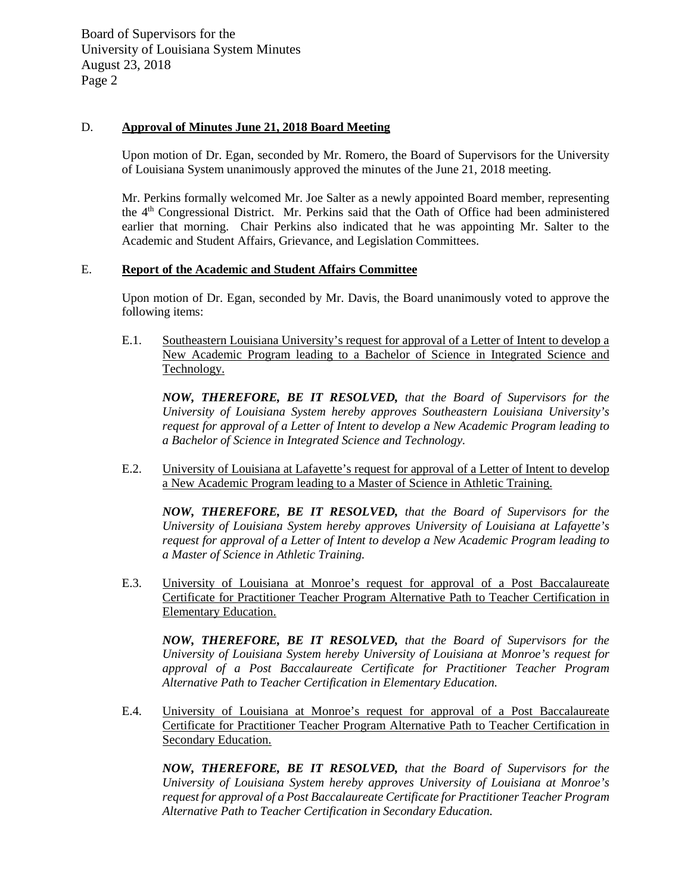## D. **Approval of Minutes June 21, 2018 Board Meeting**

Upon motion of Dr. Egan, seconded by Mr. Romero, the Board of Supervisors for the University of Louisiana System unanimously approved the minutes of the June 21, 2018 meeting.

Mr. Perkins formally welcomed Mr. Joe Salter as a newly appointed Board member, representing the 4th Congressional District. Mr. Perkins said that the Oath of Office had been administered earlier that morning. Chair Perkins also indicated that he was appointing Mr. Salter to the Academic and Student Affairs, Grievance, and Legislation Committees.

### E. **Report of the Academic and Student Affairs Committee**

Upon motion of Dr. Egan, seconded by Mr. Davis, the Board unanimously voted to approve the following items:

E.1. Southeastern Louisiana University's request for approval of a Letter of Intent to develop a New Academic Program leading to a Bachelor of Science in Integrated Science and Technology.

*NOW, THEREFORE, BE IT RESOLVED, that the Board of Supervisors for the University of Louisiana System hereby approves Southeastern Louisiana University's request for approval of a Letter of Intent to develop a New Academic Program leading to a Bachelor of Science in Integrated Science and Technology.* 

E.2. University of Louisiana at Lafayette's request for approval of a Letter of Intent to develop a New Academic Program leading to a Master of Science in Athletic Training.

*NOW, THEREFORE, BE IT RESOLVED, that the Board of Supervisors for the University of Louisiana System hereby approves University of Louisiana at Lafayette's request for approval of a Letter of Intent to develop a New Academic Program leading to a Master of Science in Athletic Training.*

E.3. University of Louisiana at Monroe's request for approval of a Post Baccalaureate Certificate for Practitioner Teacher Program Alternative Path to Teacher Certification in Elementary Education.

*NOW, THEREFORE, BE IT RESOLVED, that the Board of Supervisors for the University of Louisiana System hereby University of Louisiana at Monroe's request for approval of a Post Baccalaureate Certificate for Practitioner Teacher Program Alternative Path to Teacher Certification in Elementary Education.*

E.4. University of Louisiana at Monroe's request for approval of a Post Baccalaureate Certificate for Practitioner Teacher Program Alternative Path to Teacher Certification in Secondary Education.

*NOW, THEREFORE, BE IT RESOLVED, that the Board of Supervisors for the University of Louisiana System hereby approves University of Louisiana at Monroe's request for approval of a Post Baccalaureate Certificate for Practitioner Teacher Program Alternative Path to Teacher Certification in Secondary Education.*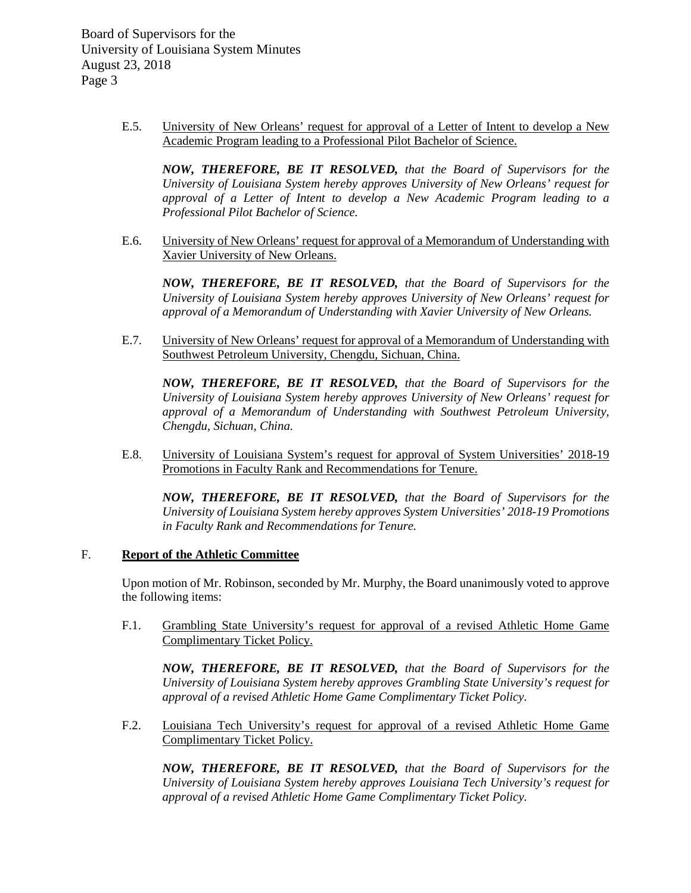> E.5. University of New Orleans' request for approval of a Letter of Intent to develop a New Academic Program leading to a Professional Pilot Bachelor of Science.

*NOW, THEREFORE, BE IT RESOLVED, that the Board of Supervisors for the University of Louisiana System hereby approves University of New Orleans' request for approval of a Letter of Intent to develop a New Academic Program leading to a Professional Pilot Bachelor of Science.*

E.6. University of New Orleans' request for approval of a Memorandum of Understanding with Xavier University of New Orleans.

*NOW, THEREFORE, BE IT RESOLVED, that the Board of Supervisors for the University of Louisiana System hereby approves University of New Orleans' request for approval of a Memorandum of Understanding with Xavier University of New Orleans.*

E.7. University of New Orleans' request for approval of a Memorandum of Understanding with Southwest Petroleum University, Chengdu, Sichuan, China.

*NOW, THEREFORE, BE IT RESOLVED, that the Board of Supervisors for the University of Louisiana System hereby approves University of New Orleans' request for approval of a Memorandum of Understanding with Southwest Petroleum University, Chengdu, Sichuan, China.*

E.8. University of Louisiana System's request for approval of System Universities' 2018-19 Promotions in Faculty Rank and Recommendations for Tenure.

*NOW, THEREFORE, BE IT RESOLVED, that the Board of Supervisors for the University of Louisiana System hereby approves System Universities' 2018-19 Promotions in Faculty Rank and Recommendations for Tenure.*

### F. **Report of the Athletic Committee**

Upon motion of Mr. Robinson, seconded by Mr. Murphy, the Board unanimously voted to approve the following items:

F.1. Grambling State University's request for approval of a revised Athletic Home Game Complimentary Ticket Policy.

*NOW, THEREFORE, BE IT RESOLVED, that the Board of Supervisors for the University of Louisiana System hereby approves Grambling State University's request for approval of a revised Athletic Home Game Complimentary Ticket Policy.*

F.2. Louisiana Tech University's request for approval of a revised Athletic Home Game Complimentary Ticket Policy.

*NOW, THEREFORE, BE IT RESOLVED, that the Board of Supervisors for the University of Louisiana System hereby approves Louisiana Tech University's request for approval of a revised Athletic Home Game Complimentary Ticket Policy.*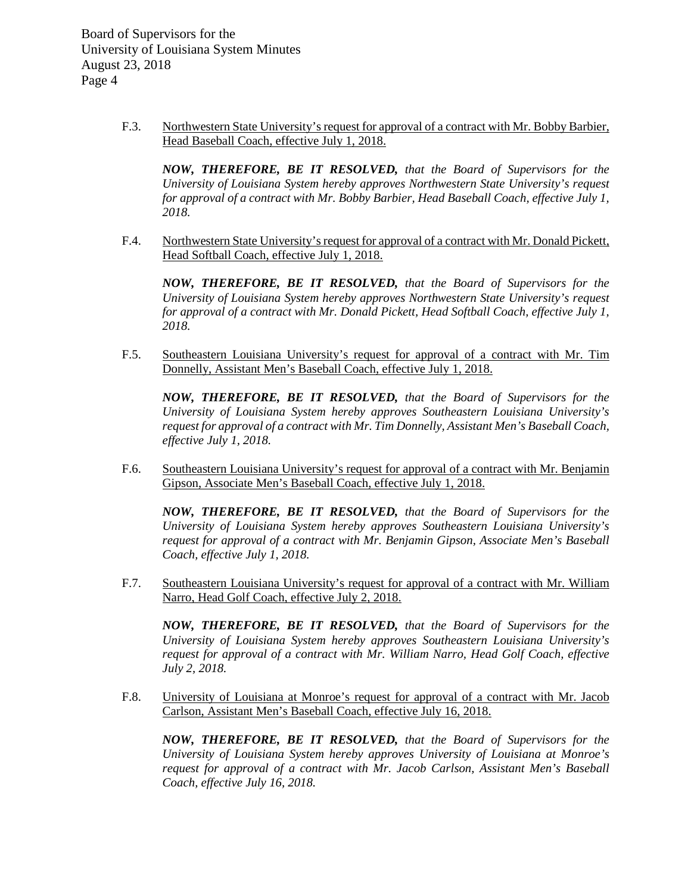> F.3. Northwestern State University's request for approval of a contract with Mr. Bobby Barbier, Head Baseball Coach, effective July 1, 2018.

*NOW, THEREFORE, BE IT RESOLVED, that the Board of Supervisors for the University of Louisiana System hereby approves Northwestern State University's request for approval of a contract with Mr. Bobby Barbier, Head Baseball Coach, effective July 1, 2018.*

F.4. Northwestern State University's request for approval of a contract with Mr. Donald Pickett, Head Softball Coach, effective July 1, 2018.

*NOW, THEREFORE, BE IT RESOLVED, that the Board of Supervisors for the University of Louisiana System hereby approves Northwestern State University's request for approval of a contract with Mr. Donald Pickett, Head Softball Coach, effective July 1, 2018.*

F.5. Southeastern Louisiana University's request for approval of a contract with Mr. Tim Donnelly, Assistant Men's Baseball Coach, effective July 1, 2018.

*NOW, THEREFORE, BE IT RESOLVED, that the Board of Supervisors for the University of Louisiana System hereby approves Southeastern Louisiana University's request for approval of a contract with Mr. Tim Donnelly, Assistant Men's Baseball Coach, effective July 1, 2018.*

F.6. Southeastern Louisiana University's request for approval of a contract with Mr. Benjamin Gipson, Associate Men's Baseball Coach, effective July 1, 2018.

*NOW, THEREFORE, BE IT RESOLVED, that the Board of Supervisors for the University of Louisiana System hereby approves Southeastern Louisiana University's request for approval of a contract with Mr. Benjamin Gipson, Associate Men's Baseball Coach, effective July 1, 2018.*

F.7. Southeastern Louisiana University's request for approval of a contract with Mr. William Narro, Head Golf Coach, effective July 2, 2018.

*NOW, THEREFORE, BE IT RESOLVED, that the Board of Supervisors for the University of Louisiana System hereby approves Southeastern Louisiana University's request for approval of a contract with Mr. William Narro, Head Golf Coach, effective July 2, 2018.*

F.8. University of Louisiana at Monroe's request for approval of a contract with Mr. Jacob Carlson, Assistant Men's Baseball Coach, effective July 16, 2018.

*NOW, THEREFORE, BE IT RESOLVED, that the Board of Supervisors for the University of Louisiana System hereby approves University of Louisiana at Monroe's request for approval of a contract with Mr. Jacob Carlson, Assistant Men's Baseball Coach, effective July 16, 2018.*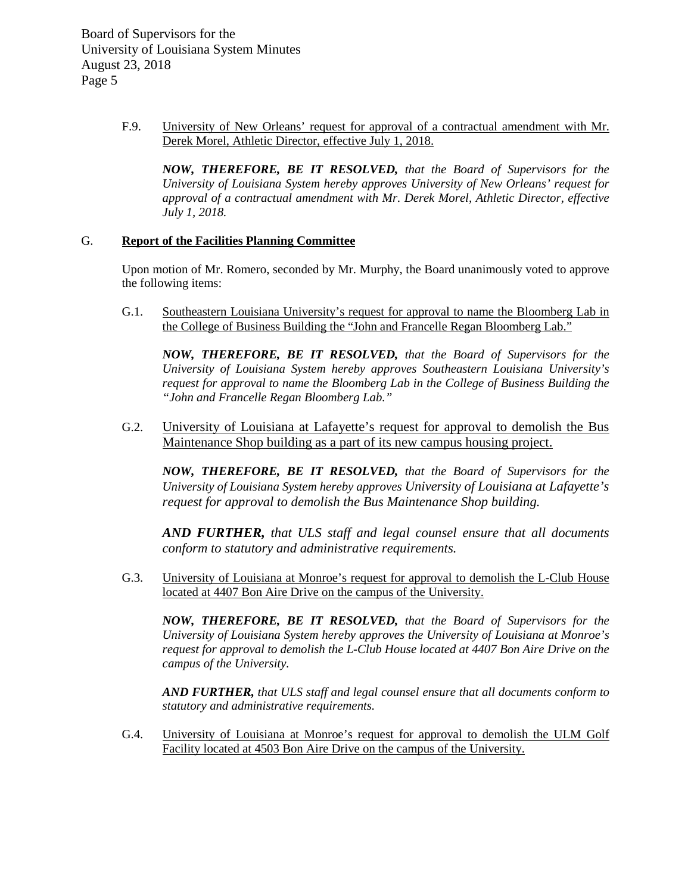> F.9. University of New Orleans' request for approval of a contractual amendment with Mr. Derek Morel, Athletic Director, effective July 1, 2018.

*NOW, THEREFORE, BE IT RESOLVED, that the Board of Supervisors for the University of Louisiana System hereby approves University of New Orleans' request for approval of a contractual amendment with Mr. Derek Morel, Athletic Director, effective July 1, 2018.*

### G. **Report of the Facilities Planning Committee**

Upon motion of Mr. Romero, seconded by Mr. Murphy, the Board unanimously voted to approve the following items:

G.1. Southeastern Louisiana University's request for approval to name the Bloomberg Lab in the College of Business Building the "John and Francelle Regan Bloomberg Lab."

*NOW, THEREFORE, BE IT RESOLVED, that the Board of Supervisors for the University of Louisiana System hereby approves Southeastern Louisiana University's request for approval to name the Bloomberg Lab in the College of Business Building the "John and Francelle Regan Bloomberg Lab."*

G.2. University of Louisiana at Lafayette's request for approval to demolish the Bus Maintenance Shop building as a part of its new campus housing project.

*NOW, THEREFORE, BE IT RESOLVED, that the Board of Supervisors for the University of Louisiana System hereby approves University of Louisiana at Lafayette's request for approval to demolish the Bus Maintenance Shop building.*

*AND FURTHER, that ULS staff and legal counsel ensure that all documents conform to statutory and administrative requirements.* 

G.3. University of Louisiana at Monroe's request for approval to demolish the L-Club House located at 4407 Bon Aire Drive on the campus of the University.

*NOW, THEREFORE, BE IT RESOLVED, that the Board of Supervisors for the University of Louisiana System hereby approves the University of Louisiana at Monroe's request for approval to demolish the L-Club House located at 4407 Bon Aire Drive on the campus of the University.*

*AND FURTHER, that ULS staff and legal counsel ensure that all documents conform to statutory and administrative requirements.*

G.4. University of Louisiana at Monroe's request for approval to demolish the ULM Golf Facility located at 4503 Bon Aire Drive on the campus of the University.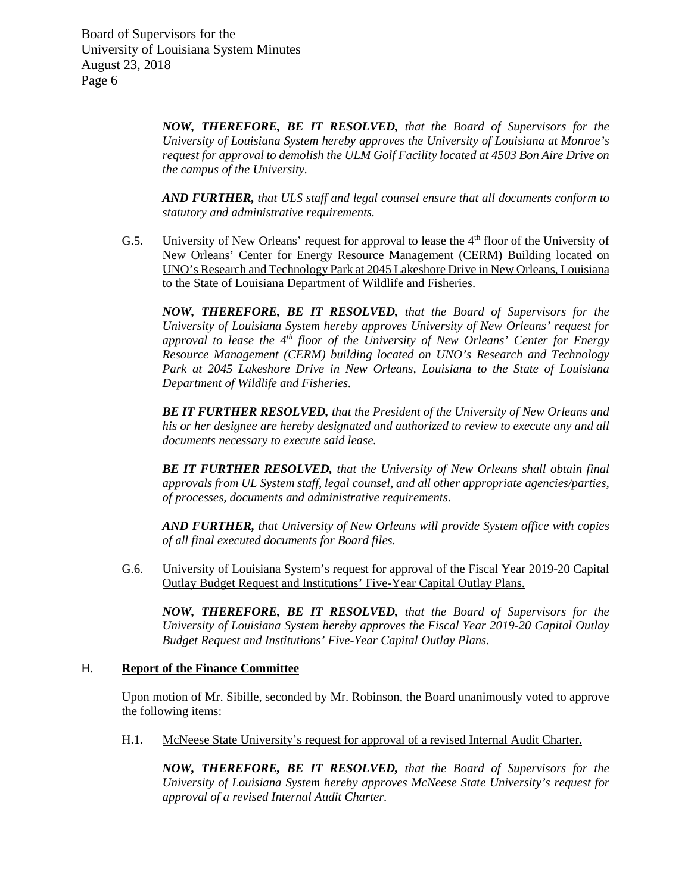> *NOW, THEREFORE, BE IT RESOLVED, that the Board of Supervisors for the University of Louisiana System hereby approves the University of Louisiana at Monroe's request for approval to demolish the ULM Golf Facility located at 4503 Bon Aire Drive on the campus of the University.*

> *AND FURTHER, that ULS staff and legal counsel ensure that all documents conform to statutory and administrative requirements.*

G.5. University of New Orleans' request for approval to lease the  $4<sup>th</sup>$  floor of the University of New Orleans' Center for Energy Resource Management (CERM) Building located on UNO's Research and Technology Park at 2045 Lakeshore Drive in New Orleans, Louisiana to the State of Louisiana Department of Wildlife and Fisheries.

*NOW, THEREFORE, BE IT RESOLVED, that the Board of Supervisors for the University of Louisiana System hereby approves University of New Orleans' request for approval to lease the 4th floor of the University of New Orleans' Center for Energy Resource Management (CERM) building located on UNO's Research and Technology Park at 2045 Lakeshore Drive in New Orleans, Louisiana to the State of Louisiana Department of Wildlife and Fisheries.* 

*BE IT FURTHER RESOLVED, that the President of the University of New Orleans and his or her designee are hereby designated and authorized to review to execute any and all documents necessary to execute said lease.*

*BE IT FURTHER RESOLVED, that the University of New Orleans shall obtain final approvals from UL System staff, legal counsel, and all other appropriate agencies/parties, of processes, documents and administrative requirements.* 

*AND FURTHER, that University of New Orleans will provide System office with copies of all final executed documents for Board files.* 

G.6. University of Louisiana System's request for approval of the Fiscal Year 2019-20 Capital Outlay Budget Request and Institutions' Five-Year Capital Outlay Plans.

*NOW, THEREFORE, BE IT RESOLVED, that the Board of Supervisors for the University of Louisiana System hereby approves the Fiscal Year 2019-20 Capital Outlay Budget Request and Institutions' Five-Year Capital Outlay Plans.*

#### H. **Report of the Finance Committee**

Upon motion of Mr. Sibille, seconded by Mr. Robinson, the Board unanimously voted to approve the following items:

H.1. McNeese State University's request for approval of a revised Internal Audit Charter.

*NOW, THEREFORE, BE IT RESOLVED, that the Board of Supervisors for the University of Louisiana System hereby approves McNeese State University's request for approval of a revised Internal Audit Charter.*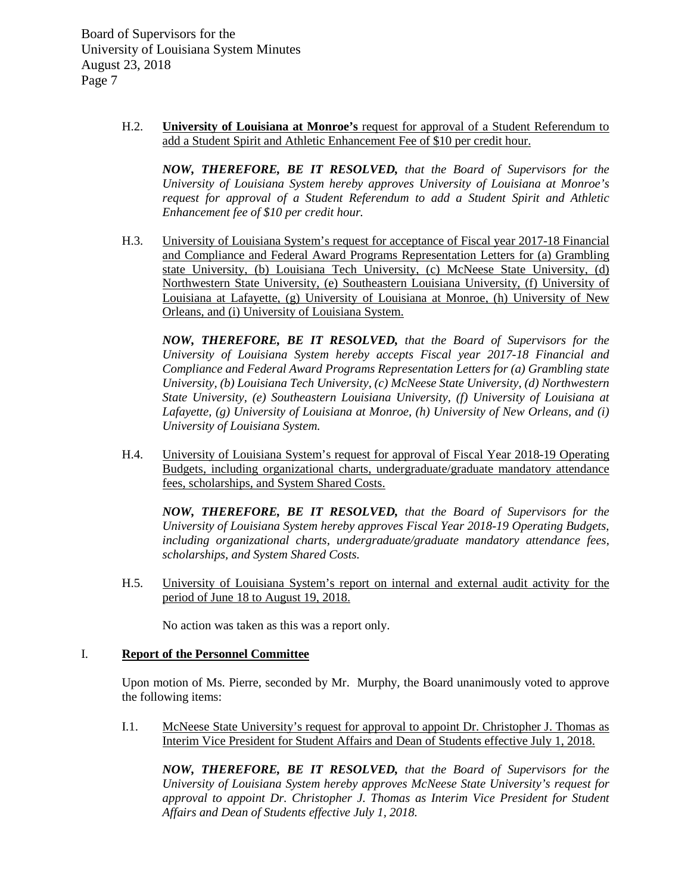> H.2. **University of Louisiana at Monroe's** request for approval of a Student Referendum to add a Student Spirit and Athletic Enhancement Fee of \$10 per credit hour.

*NOW, THEREFORE, BE IT RESOLVED, that the Board of Supervisors for the University of Louisiana System hereby approves University of Louisiana at Monroe's request for approval of a Student Referendum to add a Student Spirit and Athletic Enhancement fee of \$10 per credit hour.*

H.3. University of Louisiana System's request for acceptance of Fiscal year 2017-18 Financial and Compliance and Federal Award Programs Representation Letters for (a) Grambling state University, (b) Louisiana Tech University, (c) McNeese State University, (d) Northwestern State University, (e) Southeastern Louisiana University, (f) University of Louisiana at Lafayette, (g) University of Louisiana at Monroe, (h) University of New Orleans, and (i) University of Louisiana System.

*NOW, THEREFORE, BE IT RESOLVED, that the Board of Supervisors for the University of Louisiana System hereby accepts Fiscal year 2017-18 Financial and Compliance and Federal Award Programs Representation Letters for (a) Grambling state University, (b) Louisiana Tech University, (c) McNeese State University, (d) Northwestern State University, (e) Southeastern Louisiana University, (f) University of Louisiana at Lafayette, (g) University of Louisiana at Monroe, (h) University of New Orleans, and (i) University of Louisiana System.*

H.4. University of Louisiana System's request for approval of Fiscal Year 2018-19 Operating Budgets, including organizational charts, undergraduate/graduate mandatory attendance fees, scholarships, and System Shared Costs.

*NOW, THEREFORE, BE IT RESOLVED, that the Board of Supervisors for the University of Louisiana System hereby approves Fiscal Year 2018-19 Operating Budgets, including organizational charts, undergraduate/graduate mandatory attendance fees, scholarships, and System Shared Costs.*

H.5. University of Louisiana System's report on internal and external audit activity for the period of June 18 to August 19, 2018.

No action was taken as this was a report only.

## I. **Report of the Personnel Committee**

Upon motion of Ms. Pierre, seconded by Mr. Murphy, the Board unanimously voted to approve the following items:

I.1. McNeese State University's request for approval to appoint Dr. Christopher J. Thomas as Interim Vice President for Student Affairs and Dean of Students effective July 1, 2018.

*NOW, THEREFORE, BE IT RESOLVED, that the Board of Supervisors for the University of Louisiana System hereby approves McNeese State University's request for approval to appoint Dr. Christopher J. Thomas as Interim Vice President for Student Affairs and Dean of Students effective July 1, 2018.*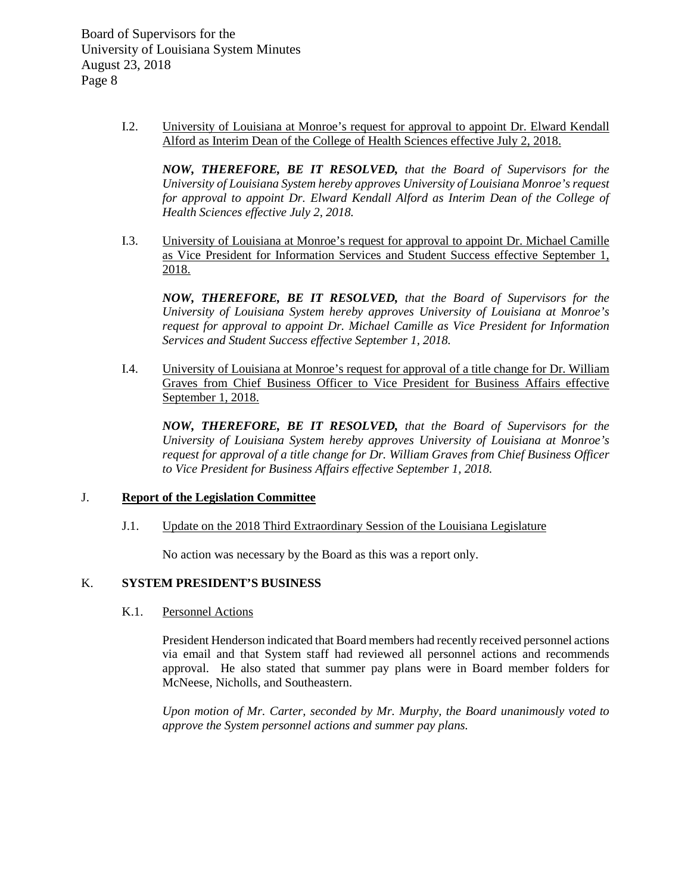> I.2. University of Louisiana at Monroe's request for approval to appoint Dr. Elward Kendall Alford as Interim Dean of the College of Health Sciences effective July 2, 2018.

*NOW, THEREFORE, BE IT RESOLVED, that the Board of Supervisors for the University of Louisiana System hereby approves University of Louisiana Monroe's request*  for approval to appoint Dr. Elward Kendall Alford as Interim Dean of the College of *Health Sciences effective July 2, 2018.* 

I.3. University of Louisiana at Monroe's request for approval to appoint Dr. Michael Camille as Vice President for Information Services and Student Success effective September 1, 2018.

*NOW, THEREFORE, BE IT RESOLVED, that the Board of Supervisors for the University of Louisiana System hereby approves University of Louisiana at Monroe's request for approval to appoint Dr. Michael Camille as Vice President for Information Services and Student Success effective September 1, 2018.*

I.4. University of Louisiana at Monroe's request for approval of a title change for Dr. William Graves from Chief Business Officer to Vice President for Business Affairs effective September 1, 2018.

*NOW, THEREFORE, BE IT RESOLVED, that the Board of Supervisors for the University of Louisiana System hereby approves University of Louisiana at Monroe's request for approval of a title change for Dr. William Graves from Chief Business Officer to Vice President for Business Affairs effective September 1, 2018.*

## J. **Report of the Legislation Committee**

J.1. Update on the 2018 Third Extraordinary Session of the Louisiana Legislature

No action was necessary by the Board as this was a report only.

# K. **SYSTEM PRESIDENT'S BUSINESS**

K.1. Personnel Actions

President Henderson indicated that Board members had recently received personnel actions via email and that System staff had reviewed all personnel actions and recommends approval. He also stated that summer pay plans were in Board member folders for McNeese, Nicholls, and Southeastern.

*Upon motion of Mr. Carter, seconded by Mr. Murphy, the Board unanimously voted to approve the System personnel actions and summer pay plans.*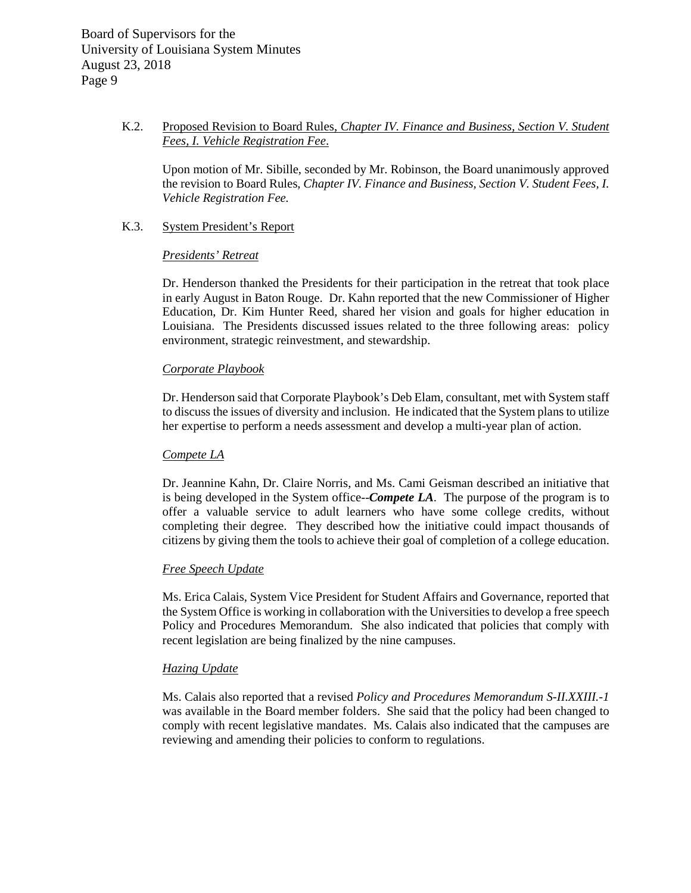# K.2. Proposed Revision to Board Rules, *Chapter IV. Finance and Business, Section V. Student Fees, I. Vehicle Registration Fee*.

Upon motion of Mr. Sibille, seconded by Mr. Robinson, the Board unanimously approved the revision to Board Rules, *Chapter IV. Finance and Business, Section V. Student Fees, I. Vehicle Registration Fee.* 

### K.3. System President's Report

## *Presidents' Retreat*

Dr. Henderson thanked the Presidents for their participation in the retreat that took place in early August in Baton Rouge. Dr. Kahn reported that the new Commissioner of Higher Education, Dr. Kim Hunter Reed, shared her vision and goals for higher education in Louisiana. The Presidents discussed issues related to the three following areas: policy environment, strategic reinvestment, and stewardship.

## *Corporate Playbook*

Dr. Henderson said that Corporate Playbook's Deb Elam, consultant, met with System staff to discuss the issues of diversity and inclusion. He indicated that the System plans to utilize her expertise to perform a needs assessment and develop a multi-year plan of action.

#### *Compete LA*

Dr. Jeannine Kahn, Dr. Claire Norris, and Ms. Cami Geisman described an initiative that is being developed in the System office--*Compete LA*. The purpose of the program is to offer a valuable service to adult learners who have some college credits, without completing their degree. They described how the initiative could impact thousands of citizens by giving them the tools to achieve their goal of completion of a college education.

## *Free Speech Update*

Ms. Erica Calais, System Vice President for Student Affairs and Governance, reported that the System Office is working in collaboration with the Universities to develop a free speech Policy and Procedures Memorandum. She also indicated that policies that comply with recent legislation are being finalized by the nine campuses.

#### *Hazing Update*

Ms. Calais also reported that a revised *Policy and Procedures Memorandum S-II.XXIII.-1*  was available in the Board member folders. She said that the policy had been changed to comply with recent legislative mandates. Ms. Calais also indicated that the campuses are reviewing and amending their policies to conform to regulations.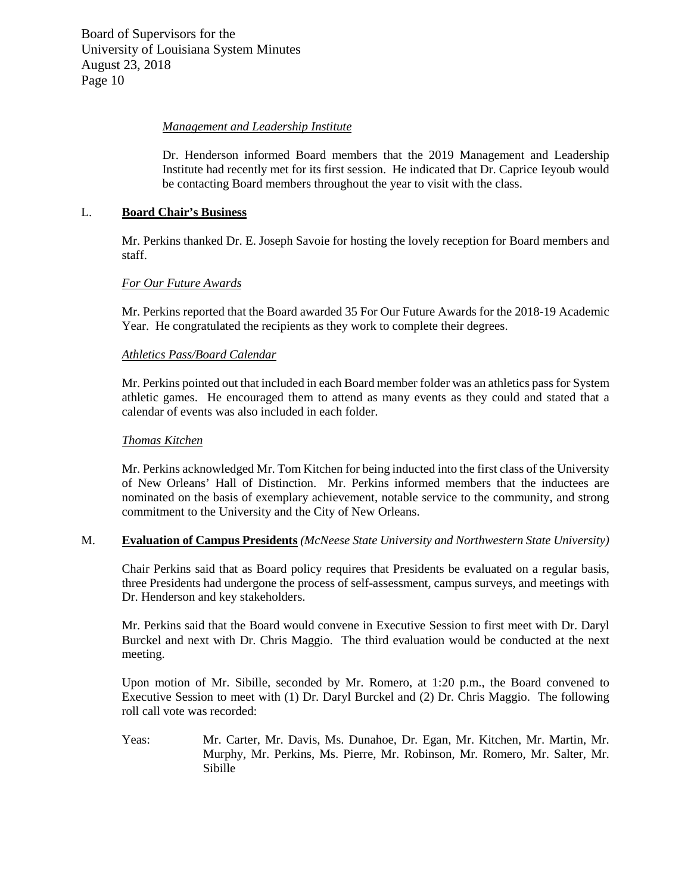## *Management and Leadership Institute*

Dr. Henderson informed Board members that the 2019 Management and Leadership Institute had recently met for its first session. He indicated that Dr. Caprice Ieyoub would be contacting Board members throughout the year to visit with the class.

### L. **Board Chair's Business**

Mr. Perkins thanked Dr. E. Joseph Savoie for hosting the lovely reception for Board members and staff.

### *For Our Future Awards*

Mr. Perkins reported that the Board awarded 35 For Our Future Awards for the 2018-19 Academic Year. He congratulated the recipients as they work to complete their degrees.

### *Athletics Pass/Board Calendar*

Mr. Perkins pointed out that included in each Board member folder was an athletics pass for System athletic games. He encouraged them to attend as many events as they could and stated that a calendar of events was also included in each folder.

#### *Thomas Kitchen*

Mr. Perkins acknowledged Mr. Tom Kitchen for being inducted into the first class of the University of New Orleans' Hall of Distinction. Mr. Perkins informed members that the inductees are nominated on the basis of exemplary achievement, notable service to the community, and strong commitment to the University and the City of New Orleans.

### M. **Evaluation of Campus Presidents** *(McNeese State University and Northwestern State University)*

Chair Perkins said that as Board policy requires that Presidents be evaluated on a regular basis, three Presidents had undergone the process of self-assessment, campus surveys, and meetings with Dr. Henderson and key stakeholders.

Mr. Perkins said that the Board would convene in Executive Session to first meet with Dr. Daryl Burckel and next with Dr. Chris Maggio. The third evaluation would be conducted at the next meeting.

Upon motion of Mr. Sibille, seconded by Mr. Romero, at 1:20 p.m., the Board convened to Executive Session to meet with (1) Dr. Daryl Burckel and (2) Dr. Chris Maggio. The following roll call vote was recorded:

Yeas: Mr. Carter, Mr. Davis, Ms. Dunahoe, Dr. Egan, Mr. Kitchen, Mr. Martin, Mr. Murphy, Mr. Perkins, Ms. Pierre, Mr. Robinson, Mr. Romero, Mr. Salter, Mr. Sibille